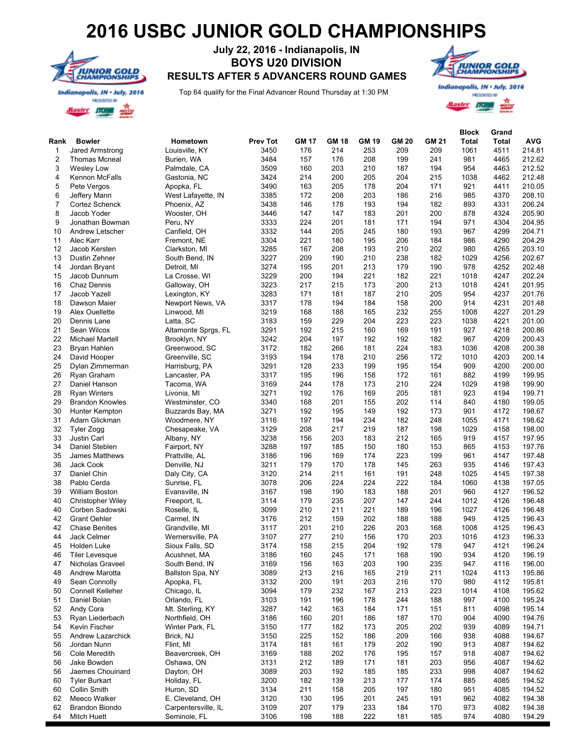## **2016 USBC JUNIOR GOLD CHAMPIONSHIPS**



## **July 22, 2016 - Indianapolis, IN BOYS U20 DIVISION RESULTS AFTER 5 ADVANCERS ROUND GAMES**

Top 64 qualify for the Final Advancer Round Thursday at 1:30 PM



PRESENTED BY diaster **A**O

| Rank           | <b>Bowler</b>                               | Hometown                       | <b>Prev Tot</b> | <b>GM 17</b> | <b>GM 18</b> | <b>GM 19</b> | <b>GM 20</b> | <b>GM 21</b> | <b>Block</b><br><b>Total</b> | Grand<br>Total | <b>AVG</b>       |
|----------------|---------------------------------------------|--------------------------------|-----------------|--------------|--------------|--------------|--------------|--------------|------------------------------|----------------|------------------|
| -1             | Jared Armstrong                             | Louisville, KY                 | 3450            | 176          | 214          | 253          | 209          | 209          | 1061                         | 4511           | 214.81           |
| $\overline{2}$ | <b>Thomas Mcneal</b>                        | Burien, WA                     | 3484            | 157          | 176          | 208          | 199          | 241          | 981                          | 4465           | 212.62           |
| 3              | <b>Wesley Low</b>                           | Palmdale, CA                   | 3509            | 160          | 203          | 210          | 187          | 194          | 954                          | 4463           | 212.52           |
| 4              | Kennon McFalls                              | Gastonia, NC                   | 3424            | 214          | 200          | 205          | 204          | 215          | 1038                         | 4462           | 212.48           |
| 5              | Pete Vergos                                 | Apopka, FL                     | 3490            | 163          | 205          | 178          | 204          | 171          | 921                          | 4411           | 210.05           |
| 6              | Jeffery Mann                                | West Lafayette, IN             | 3385            | 172          | 208          | 203          | 186          | 216          | 985                          | 4370           | 208.10           |
| $\overline{7}$ | Cortez Schenck                              | Phoenix, AZ                    | 3438            | 146          | 178          | 193          | 194          | 182          | 893                          | 4331           | 206.24           |
| 8              | Jacob Yoder                                 | Wooster, OH                    | 3446            | 147          | 147          | 183          | 201          | 200          | 878                          | 4324           | 205.90           |
| 9              | Jonathan Bowman                             | Peru, NY                       | 3333            | 224          | 201          | 181          | 171          | 194          | 971                          | 4304           | 204.95           |
| 10             | Andrew Letscher                             | Canfield, OH                   | 3332            | 144          | 205          | 245          | 180          | 193          | 967                          | 4299           | 204.71           |
| 11             | Alec Karr                                   | Fremont, NE                    | 3304            | 221          | 180          | 195          | 206          | 184          | 986                          | 4290           | 204.29           |
| 12             | Jacob Kersten                               | Clarkston, MI                  | 3285            | 167          | 208          | 193          | 210          | 202          | 980                          | 4265           | 203.10           |
| 13             | Dustin Zehner                               | South Bend, IN                 | 3227            | 209          | 190          | 210          | 238          | 182          | 1029                         | 4256           | 202.67           |
| 14             | Jordan Bryant                               | Detroit, MI                    | 3274            | 195          | 201          | 213          | 179          | 190          | 978                          | 4252           | 202.48           |
| 15             | Jacob Dunnum                                | La Crosse, WI                  | 3229            | 200          | 194          | 221          | 182          | 221          | 1018                         | 4247           | 202.24           |
| 16             | Chaz Dennis                                 | Galloway, OH                   | 3223            | 217          | 215          | 173          | 200          | 213          | 1018                         | 4241           | 201.95           |
| 17             | Jacob Yazell                                | Lexington, KY                  | 3283            | 171          | 181          | 187          | 210          | 205          | 954                          | 4237           | 201.76           |
| 18             | Dawson Maier                                | Newport News, VA               | 3317            | 178          | 194          | 184          | 158          | 200          | 914                          | 4231           | 201.48           |
| 19             | Alex Ouellette                              | Linwood, MI                    | 3219            | 168          | 188          | 165          | 232          | 255          | 1008                         | 4227           | 201.29           |
| 20             | Dennis Lane                                 | Latta, SC                      | 3183            | 159          | 229          | 204          | 223          | 223          | 1038                         | 4221           | 201.00           |
| 21             | Sean Wilcox                                 | Altamonte Sprgs, FL            | 3291            | 192          | 215          | 160          | 169          | 191          | 927                          | 4218           | 200.86           |
| 22             | <b>Michael Martell</b>                      | Brooklyn, NY                   | 3242            | 204          | 197          | 192          | 192          | 182          | 967                          | 4209           | 200.43           |
| 23             | Bryan Hahlen                                | Greenwood, SC                  | 3172            | 182          | 266          | 181          | 224          | 183          | 1036                         | 4208           | 200.38           |
| 24             | David Hooper                                | Greenville, SC                 | 3193            | 194          | 178          | 210          | 256          | 172          | 1010                         | 4203           | 200.14           |
| 25             | Dylan Zimmerman                             | Harrisburg, PA                 | 3291            | 128          | 233          | 199          | 195          | 154          | 909                          | 4200           | 200.00           |
| 26             | Ryan Graham                                 | Lancaster, PA                  | 3317            | 195          | 196          | 158          | 172          | 161          | 882                          | 4199           | 199.95           |
| 27             | Daniel Hanson                               | Tacoma, WA                     | 3169            | 244          | 178          | 173          | 210          | 224          | 1029                         | 4198           | 199.90           |
| 28             | <b>Ryan Winters</b>                         | Livonia, MI                    | 3271            | 192          | 176          | 169          | 205          | 181          | 923                          | 4194           | 199.71           |
| 29             | <b>Brandon Knowles</b>                      | Westminster, CO                | 3340            | 168          | 201          | 155          | 202          | 114          | 840                          | 4180           | 199.05           |
| 30             | Hunter Kempton                              | Buzzards Bay, MA               | 3271            | 192          | 195          | 149          | 192          | 173          | 901                          | 4172           | 198.67           |
| 31             | Adam Glickman                               | Woodmere, NY                   | 3116            | 197          | 194          | 234          | 182          | 248          | 1055                         | 4171           | 198.62           |
| 32             | Tyler Zogg                                  | Chesapeake, VA                 | 3129            | 208          | 217          | 219          | 187          | 198          | 1029                         | 4158           | 198.00           |
| 33             | Justin Carl                                 | Albany, NY                     | 3238            | 156          | 203          | 183          | 212          | 165          | 919                          | 4157           | 197.95           |
| 34             | Daniel Steblen                              | Fairport, NY                   | 3288            | 197          | 185          | 150          | 180          | 153          | 865                          | 4153           | 197.76           |
| 35             | <b>James Matthews</b>                       |                                | 3186            | 196          | 169          | 174          | 223          | 199          | 961                          | 4147           | 197.48           |
| 36             | Jack Cook                                   | Prattville, AL<br>Denville, NJ | 3211            | 179          | 170          | 178          | 145          | 263          | 935                          | 4146           | 197.43           |
| 37             | Daniel Chin                                 | Daly City, CA                  | 3120            | 214          | 211          | 161          | 191          | 248          | 1025                         | 4145           | 197.38           |
| 38             | Pablo Cerda                                 | Sunrise, FL                    | 3078            | 206          | 224          | 224          | 222          | 184          | 1060                         | 4138           | 197.05           |
| 39             | <b>William Boston</b>                       | Evansville, IN                 | 3167            | 198          | 190          | 183          | 188          | 201          | 960                          | 4127           | 196.52           |
| 40             |                                             |                                | 3114            | 179          | 235          | 207          | 147          | 244          | 1012                         | 4126           | 196.48           |
| 40             | <b>Christopher Wiley</b><br>Corben Sadowski | Freeport, IL<br>Roselle, IL    | 3099            | 210          | 211          | 221          |              | 196          | 1027                         | 4126           |                  |
| 42             | <b>Grant Oehler</b>                         |                                | 3176            | 212          | 159          | 202          | 189<br>188   | 188          | 949                          | 4125           | 196.48<br>196.43 |
|                |                                             | Carmel, IN                     |                 |              |              |              |              |              |                              |                |                  |
| 42             | <b>Chase Benites</b>                        | Grandville, MI                 | 3117            | 201          | 210          | 226          | 203          | 168          | 1008                         | 4125           | 196.43           |
| 44             | Jack Celmer                                 | Wernersville, PA               | 3107<br>3174    | 277          | 210          | 156<br>204   | 170          | 203<br>178   | 1016<br>947                  | 4123           | 196.33<br>196.24 |
| 45             | Holden Luke                                 | Sioux Falls, SD                |                 | 158          | 215          |              | 192          |              |                              | 4121           |                  |
| 46             | Tiler Levesque                              | Acushnet, MA                   | 3186            | 160          | 245          | 171          | 168          | 190          | 934                          | 4120           | 196.19           |
| 47             | Nicholas Graveel                            | South Bend, IN                 | 3169            | 156          | 163          | 203          | 190          | 235          | 947                          | 4116           | 196.00           |
| 48             | Andrew Marotta                              | Ballston Spa, NY               | 3089            | 213          | 216          | 165          | 219          | 211          | 1024                         | 4113           | 195.86           |
| 49             | Sean Connolly                               | Apopka, FL                     | 3132            | 200          | 191          | 203          | 216          | 170          | 980                          | 4112           | 195.81           |
| 50             | Connell Kelleher                            | Chicago, IL                    | 3094            | 179          | 232          | 167          | 213          | 223          | 1014                         | 4108           | 195.62           |
| 51             | Daniel Bolan                                | Orlando, FL                    | 3103            | 191          | 196          | 178          | 244          | 188          | 997                          | 4100           | 195.24           |
| 52             | Andy Cora                                   | Mt. Sterling, KY               | 3287            | 142          | 163          | 184          | 171          | 151          | 811                          | 4098           | 195.14           |
| 53             | Ryan Liederbach                             | Northfield, OH                 | 3186            | 160          | 201          | 186          | 187          | 170          | 904                          | 4090           | 194.76           |
| 54             | Kevin Fischer                               | Winter Park, FL                | 3150            | 177          | 182          | 173          | 205          | 202          | 939                          | 4089           | 194.71           |
| 55             | Andrew Lazarchick                           | Brick, NJ                      | 3150            | 225          | 152          | 186          | 209          | 166          | 938                          | 4088           | 194.67           |
| 56             | Jordan Nunn                                 | Flint, MI                      | 3174            | 181          | 161          | 179          | 202          | 190          | 913                          | 4087           | 194.62           |
| 56             | Cole Meredith                               | Beavercreek, OH                | 3169            | 188          | 202          | 176          | 195          | 157          | 918                          | 4087           | 194.62           |
| 56             | Jake Bowden                                 | Oshawa, ON                     | 3131            | 212          | 189          | 171          | 181          | 203          | 956                          | 4087           | 194.62           |
| 56             | Jaemes Chouinard                            | Dayton, OH                     | 3089            | 203          | 192          | 185          | 185          | 233          | 998                          | 4087           | 194.62           |
| 60             | <b>Tyler Burkart</b>                        | Holiday, FL                    | 3200            | 182          | 139          | 213          | 177          | 174          | 885                          | 4085           | 194.52           |
| 60             | Collin Smith                                | Huron, SD                      | 3134            | 211          | 158          | 205          | 197          | 180          | 951                          | 4085           | 194.52           |
| 62             | Meeco Walker                                | E. Cleveland, OH               | 3120            | 130          | 195          | 201          | 245          | 191          | 962                          | 4082           | 194.38           |
| 62             | Brandon Biondo                              | Carpentersville, IL            | 3109            | 207          | 179          | 233          | 184          | 170          | 973                          | 4082           | 194.38           |
| 64             | Mitch Huett                                 | Seminole, FL                   | 3106            | 198          | 188          | 222          | 181          | 185          | 974                          | 4080           | 194.29           |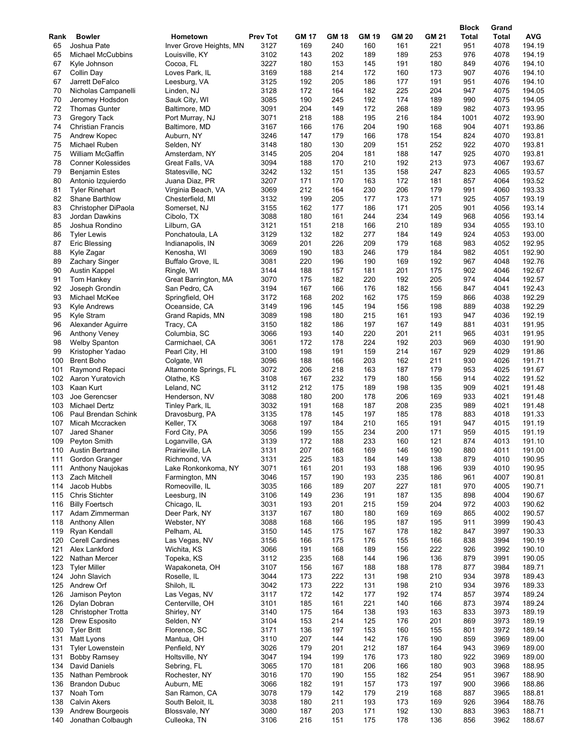|            |                              |                                     |                         |              |                     |                     |                     |                     | <b>Block</b> | Grand         |               |
|------------|------------------------------|-------------------------------------|-------------------------|--------------|---------------------|---------------------|---------------------|---------------------|--------------|---------------|---------------|
| Rank<br>65 | <b>Bowler</b><br>Joshua Pate | Hometown<br>Inver Grove Heights, MN | <b>Prev Tot</b><br>3127 | GM 17<br>169 | <b>GM 18</b><br>240 | <b>GM 19</b><br>160 | <b>GM 20</b><br>161 | <b>GM 21</b><br>221 | Total<br>951 | Total<br>4078 | AVG<br>194.19 |
| 65         | <b>Michael McCubbins</b>     | Louisville, KY                      | 3102                    | 143          | 202                 | 189                 | 189                 | 253                 | 976          | 4078          | 194.19        |
| 67         | Kyle Johnson                 | Cocoa, FL                           | 3227                    | 180          | 153                 | 145                 | 191                 | 180                 | 849          | 4076          | 194.10        |
| 67         | Collin Day                   | Loves Park, IL                      | 3169                    | 188          | 214                 | 172                 | 160                 | 173                 | 907          | 4076          | 194.10        |
| 67         | Jarrett DeFalco              | Leesburg, VA                        | 3125                    | 192          | 205                 | 186                 | 177                 | 191                 | 951          | 4076          | 194.10        |
| 70         | Nicholas Campanelli          | Linden, NJ                          | 3128                    | 172          | 164                 | 182                 | 225                 | 204                 | 947          | 4075          | 194.05        |
| 70         | Jeromey Hodsdon              | Sauk City, WI                       | 3085                    | 190          | 245                 | 192                 | 174                 | 189                 | 990          | 4075          | 194.05        |
| 72         | <b>Thomas Gunter</b>         | Baltimore, MD                       | 3091                    | 204          | 149                 | 172                 | 268                 | 189                 | 982          | 4073          | 193.95        |
|            |                              |                                     | 3071                    | 218          | 188                 | 195                 | 216                 | 184                 | 1001         | 4072          | 193.90        |
| 73<br>74   | <b>Gregory Tack</b>          | Port Murray, NJ                     | 3167                    | 166          | 176                 | 204                 | 190                 | 168                 | 904          | 4071          | 193.86        |
|            | <b>Christian Francis</b>     | Baltimore, MD                       | 3246                    |              | 179                 | 166                 |                     |                     |              | 4070          | 193.81        |
| 75<br>75   | Andrew Kopec                 | Auburn, NY                          | 3148                    | 147          | 130                 | 209                 | 178                 | 154<br>252          | 824<br>922   | 4070          | 193.81        |
|            | Michael Ruben                | Selden, NY                          |                         | 180          |                     |                     | 151                 |                     |              | 4070          |               |
| 75         | <b>William McGaffin</b>      | Amsterdam, NY                       | 3145                    | 205          | 204                 | 181                 | 188                 | 147                 | 925          |               | 193.81        |
| 78         | <b>Conner Kolessides</b>     | Great Falls, VA                     | 3094                    | 188          | 170                 | 210                 | 192                 | 213                 | 973          | 4067          | 193.67        |
| 79         | <b>Benjamin Estes</b>        | Statesville, NC                     | 3242                    | 132          | 151                 | 135                 | 158                 | 247                 | 823          | 4065          | 193.57        |
| 80         | Antonio Izquierdo            | Juana Diaz, PR                      | 3207                    | 171          | 170                 | 163                 | 172                 | 181                 | 857          | 4064          | 193.52        |
| 81         | <b>Tyler Rinehart</b>        | Virginia Beach, VA                  | 3069                    | 212          | 164                 | 230                 | 206                 | 179                 | 991          | 4060          | 193.33        |
| 82         | Shane Barthlow               | Chesterfield, MI                    | 3132                    | 199          | 205                 | 177                 | 173                 | 171                 | 925          | 4057          | 193.19        |
| 83         | Christopher DiPaola          | Somerset, NJ                        | 3155                    | 162          | 177                 | 186                 | 171                 | 205                 | 901          | 4056          | 193.14        |
| 83         | Jordan Dawkins               | Cibolo, TX                          | 3088                    | 180          | 161                 | 244                 | 234                 | 149                 | 968          | 4056          | 193.14        |
| 85         | Joshua Rondino               | Lilburn, GA                         | 3121                    | 151          | 218                 | 166                 | 210                 | 189                 | 934          | 4055          | 193.10        |
| 86         | <b>Tyler Lewis</b>           | Ponchatoula, LA                     | 3129                    | 132          | 182                 | 277                 | 184                 | 149                 | 924          | 4053          | 193.00        |
| 87         | Eric Blessing                | Indianapolis, IN                    | 3069                    | 201          | 226                 | 209                 | 179                 | 168                 | 983          | 4052          | 192.95        |
| 88         | Kyle Zagar                   | Kenosha, WI                         | 3069                    | 190          | 183                 | 246                 | 179                 | 184                 | 982          | 4051          | 192.90        |
| 89         | <b>Zachary Singer</b>        | Buffalo Grove, IL                   | 3081                    | 220          | 196                 | 190                 | 169                 | 192                 | 967          | 4048          | 192.76        |
| 90         | <b>Austin Kappel</b>         | Ringle, WI                          | 3144                    | 188          | 157                 | 181                 | 201                 | 175                 | 902          | 4046          | 192.67        |
| 91         | Tom Hankey                   | Great Barrington, MA                | 3070                    | 175          | 182                 | 220                 | 192                 | 205                 | 974          | 4044          | 192.57        |
| 92         | Joseph Grondin               | San Pedro, CA                       | 3194                    | 167          | 166                 | 176                 | 182                 | 156                 | 847          | 4041          | 192.43        |
| 93         | Michael McKee                | Springfield, OH                     | 3172                    | 168          | 202                 | 162                 | 175                 | 159                 | 866          | 4038          | 192.29        |
| 93         | <b>Kyle Andrews</b>          | Oceanside, CA                       | 3149                    | 196          | 145                 | 194                 | 156                 | 198                 | 889          | 4038          | 192.29        |
| 95         | Kyle Stram                   | Grand Rapids, MN                    | 3089                    | 198          | 180                 | 215                 | 161                 | 193                 | 947          | 4036          | 192.19        |
| 96         | Alexander Aguirre            | Tracy, CA                           | 3150                    | 182          | 186                 | 197                 | 167                 | 149                 | 881          | 4031          | 191.95        |
| 96         | <b>Anthony Veney</b>         | Columbia, SC                        | 3066                    | 193          | 140                 | 220                 | 201                 | 211                 | 965          | 4031          | 191.95        |
| 98         | <b>Welby Spanton</b>         | Carmichael, CA                      | 3061                    | 172          | 178                 | 224                 | 192                 | 203                 | 969          | 4030          | 191.90        |
| 99         | Kristopher Yadao             | Pearl City, HI                      | 3100                    | 198          | 191                 | 159                 | 214                 | 167                 | 929          | 4029          | 191.86        |
| 100        | <b>Brent Boho</b>            | Colgate, WI                         | 3096                    | 188          | 166                 | 203                 | 162                 | 211                 | 930          | 4026          | 191.71        |
| 101        | Raymond Repaci               | Altamonte Springs, FL               | 3072                    | 206          | 218                 | 163                 | 187                 | 179                 | 953          | 4025          | 191.67        |
|            | 102 Aaron Yuratovich         | Olathe, KS                          | 3108                    | 167          | 232                 | 179                 | 180                 | 156                 | 914          | 4022          | 191.52        |
| 103        | Kaan Kurt                    | Leland, NC                          | 3112                    | 212          | 175                 | 189                 | 198                 | 135                 | 909          | 4021          | 191.48        |
| 103        | Joe Gerencser                | Henderson, NV                       | 3088                    | 180          | 200                 | 178                 | 206                 | 169                 | 933          | 4021          | 191.48        |
| 103        | <b>Michael Dertz</b>         | Tinley Park, IL                     | 3032                    | 191          | 168                 | 187                 | 208                 | 235                 | 989          | 4021          | 191.48        |
|            | 106 Paul Brendan Schink      | Dravosburg, PA                      | 3135                    | 178          | 145                 | 197                 | 185                 | 178                 | 883          | 4018          | 191.33        |
| 107        | Micah Mccracken              | Keller, TX                          | 3068                    | 197          | 184                 | 210                 | 165                 | 191                 | 947          | 4015          | 191.19        |
| 107        | Jared Shaner                 | Ford City, PA                       | 3056                    | 199          | 155                 | 234                 | 200                 | 171                 | 959          | 4015          | 191.19        |
|            | 109 Peyton Smith             | Loganville, GA                      | 3139                    | 172          | 188                 | 233                 | 160                 | 121                 | 874          | 4013          | 191.10        |
|            | 110 Austin Bertrand          | Prairieville, LA                    | 3131                    | 207          | 168                 | 169                 | 146                 | 190                 | 880          | 4011          | 191.00        |
| 111        | Gordon Granger               | Richmond, VA                        | 3131                    | 225          | 183                 | 184                 | 149                 | 138                 | 879          | 4010          | 190.95        |
| 111        | Anthony Naujokas             | Lake Ronkonkoma, NY                 | 3071                    | 161          | 201                 | 193                 | 188                 | 196                 | 939          | 4010          | 190.95        |
|            | 113 Zach Mitchell            | Farmington, MN                      | 3046                    | 157          | 190                 | 193                 | 235                 | 186                 | 961          | 4007          | 190.81        |
| 114        | Jacob Hubbs                  | Romeoville, IL                      | 3035                    | 166          | 189                 | 207                 | 227                 | 181                 | 970          | 4005          | 190.71        |
| 115        | <b>Chris Stichter</b>        | Leesburg, IN                        | 3106                    | 149          | 236                 | 191                 | 187                 | 135                 | 898          | 4004          | 190.67        |
| 116        | <b>Billy Foertsch</b>        | Chicago, IL                         | 3031                    | 193          | 201                 | 215                 | 159                 | 204                 | 972          | 4003          | 190.62        |
| 117        | Adam Zimmerman               | Deer Park, NY                       | 3137                    | 167          | 180                 | 180                 | 169                 | 169                 | 865          | 4002          | 190.57        |
| 118        | Anthony Allen                | Webster, NY                         | 3088                    | 168          | 166                 | 195                 | 187                 | 195                 | 911          | 3999          | 190.43        |
| 119        | Ryan Kendall                 | Pelham, AL                          | 3150                    | 145          | 175                 | 167                 | 178                 | 182                 | 847          | 3997          | 190.33        |
| 120        | <b>Cerell Cardines</b>       | Las Vegas, NV                       | 3156                    | 166          | 175                 | 176                 | 155                 | 166                 | 838          | 3994          | 190.19        |
| 121        | Alex Lankford                | Wichita, KS                         | 3066                    | 191          | 168                 | 189                 | 156                 | 222                 | 926          | 3992          | 190.10        |
| 122        | Nathan Mercer                | Topeka, KS                          | 3112                    | 235          | 168                 | 144                 | 196                 | 136                 | 879          | 3991          | 190.05        |
| 123        | <b>Tyler Miller</b>          | Wapakoneta, OH                      | 3107                    | 156          | 167                 | 188                 | 188                 | 178                 | 877          | 3984          | 189.71        |
| 124        | John Slavich                 | Roselle, IL                         | 3044                    | 173          | 222                 | 131                 | 198                 | 210                 | 934          | 3978          | 189.43        |
|            | 125 Andrew Orf               | Shiloh, IL                          | 3042                    | 173          | 222                 | 131                 | 198                 | 210                 | 934          | 3976          | 189.33        |
| 126        | Jamison Peyton               | Las Vegas, NV                       | 3117                    | 172          | 142                 | 177                 | 192                 | 174                 | 857          | 3974          | 189.24        |
| 126        | Dylan Dobran                 | Centerville, OH                     | 3101                    | 185          | 161                 | 221                 | 140                 | 166                 | 873          | 3974          | 189.24        |
| 128        | <b>Christopher Trotta</b>    | Shirley, NY                         | 3140                    | 175          | 164                 | 138                 | 193                 | 163                 | 833          | 3973          | 189.19        |
| 128        | Drew Esposito                | Selden, NY                          | 3104                    | 153          | 214                 | 125                 | 176                 | 201                 | 869          | 3973          | 189.19        |
| 130        | <b>Tyler Britt</b>           | Florence, SC                        | 3171                    | 136          | 197                 | 153                 | 160                 | 155                 | 801          | 3972          | 189.14        |
| 131        | Matt Lyons                   | Mantua, OH                          | 3110                    | 207          | 144                 | 142                 | 176                 | 190                 | 859          | 3969          | 189.00        |
| 131        | <b>Tyler Lowenstein</b>      | Penfield, NY                        | 3026                    | 179          | 201                 | 212                 | 187                 | 164                 | 943          | 3969          | 189.00        |
| 131        | <b>Bobby Ramsey</b>          | Holtsville, NY                      | 3047                    | 194          | 199                 | 176                 | 173                 | 180                 | 922          | 3969          | 189.00        |
| 134        | David Daniels                | Sebring, FL                         | 3065                    | 170          | 181                 | 206                 | 166                 | 180                 | 903          | 3968          | 188.95        |
| 135        | Nathan Pembrook              | Rochester, NY                       | 3016                    | 170          | 190                 | 155                 | 182                 | 254                 | 951          | 3967          | 188.90        |
| 136        | <b>Brandon Dubuc</b>         | Auburn, ME                          | 3066                    | 182          | 191                 | 157                 | 173                 | 197                 | 900          | 3966          | 188.86        |
| 137        | Noah Tom                     | San Ramon, CA                       | 3078                    | 179          | 142                 | 179                 | 219                 | 168                 | 887          | 3965          | 188.81        |
| 138        | <b>Calvin Akers</b>          | South Beloit, IL                    | 3038                    | 180          | 211                 | 193                 | 173                 | 169                 | 926          | 3964          | 188.76        |
| 139        | Andrew Bourgeois             | Blossvale, NY                       | 3080                    | 187          | 203                 | 171                 | 192                 | 130                 | 883          | 3963          | 188.71        |
| 140        | Jonathan Colbaugh            | Culleoka, TN                        | 3106                    | 216          | 151                 | 175                 | 178                 | 136                 | 856          | 3962          | 188.67        |
|            |                              |                                     |                         |              |                     |                     |                     |                     |              |               |               |